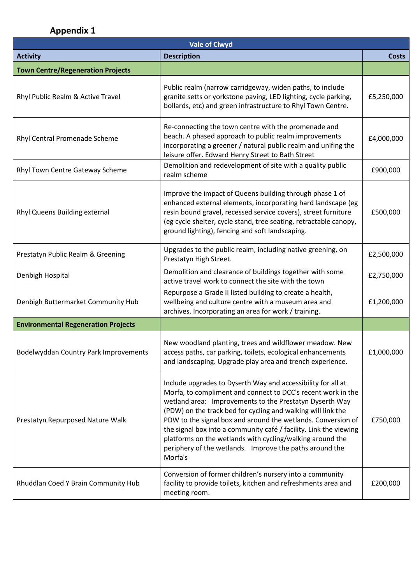## **Appendix 1**

| <b>Vale of Clwyd</b>                       |                                                                                                                                                                                                                                                                                                                                                                                                                                                                                                                                 |              |
|--------------------------------------------|---------------------------------------------------------------------------------------------------------------------------------------------------------------------------------------------------------------------------------------------------------------------------------------------------------------------------------------------------------------------------------------------------------------------------------------------------------------------------------------------------------------------------------|--------------|
| <b>Activity</b>                            | <b>Description</b>                                                                                                                                                                                                                                                                                                                                                                                                                                                                                                              | <b>Costs</b> |
| <b>Town Centre/Regeneration Projects</b>   |                                                                                                                                                                                                                                                                                                                                                                                                                                                                                                                                 |              |
| Rhyl Public Realm & Active Travel          | Public realm (narrow carridgeway, widen paths, to include<br>granite setts or yorkstone paving, LED lighting, cycle parking,<br>bollards, etc) and green infrastructure to Rhyl Town Centre.                                                                                                                                                                                                                                                                                                                                    | £5,250,000   |
| Rhyl Central Promenade Scheme              | Re-connecting the town centre with the promenade and<br>beach. A phased approach to public realm improvements<br>incorporating a greener / natural public realm and unifing the<br>leisure offer. Edward Henry Street to Bath Street                                                                                                                                                                                                                                                                                            | £4,000,000   |
| Rhyl Town Centre Gateway Scheme            | Demolition and redevelopment of site with a quality public<br>realm scheme                                                                                                                                                                                                                                                                                                                                                                                                                                                      | £900,000     |
| Rhyl Queens Building external              | Improve the impact of Queens building through phase 1 of<br>enhanced external elements, incorporating hard landscape (eg<br>resin bound gravel, recessed service covers), street furniture<br>(eg cycle shelter, cycle stand, tree seating, retractable canopy,<br>ground lighting), fencing and soft landscaping.                                                                                                                                                                                                              | £500,000     |
| Prestatyn Public Realm & Greening          | Upgrades to the public realm, including native greening, on<br>Prestatyn High Street.                                                                                                                                                                                                                                                                                                                                                                                                                                           | £2,500,000   |
| Denbigh Hospital                           | Demolition and clearance of buildings together with some<br>active travel work to connect the site with the town                                                                                                                                                                                                                                                                                                                                                                                                                | £2,750,000   |
| Denbigh Buttermarket Community Hub         | Repurpose a Grade II listed building to create a health,<br>wellbeing and culture centre with a museum area and<br>archives. Incorporating an area for work / training.                                                                                                                                                                                                                                                                                                                                                         | £1,200,000   |
| <b>Environmental Regeneration Projects</b> |                                                                                                                                                                                                                                                                                                                                                                                                                                                                                                                                 |              |
| Bodelwyddan Country Park Improvements      | New woodland planting, trees and wildflower meadow. New<br>access paths, car parking, toilets, ecological enhancements<br>and landscaping. Upgrade play area and trench experience.                                                                                                                                                                                                                                                                                                                                             | £1,000,000   |
| Prestatyn Repurposed Nature Walk           | Include upgrades to Dyserth Way and accessibility for all at<br>Morfa, to compliment and connect to DCC's recent work in the<br>wetland area: Improvements to the Prestatyn Dyserth Way<br>(PDW) on the track bed for cycling and walking will link the<br>PDW to the signal box and around the wetlands. Conversion of<br>the signal box into a community café / facility. Link the viewing<br>platforms on the wetlands with cycling/walking around the<br>periphery of the wetlands. Improve the paths around the<br>Morfa's | £750,000     |
| Rhuddlan Coed Y Brain Community Hub        | Conversion of former children's nursery into a community<br>facility to provide toilets, kitchen and refreshments area and<br>meeting room.                                                                                                                                                                                                                                                                                                                                                                                     | £200,000     |